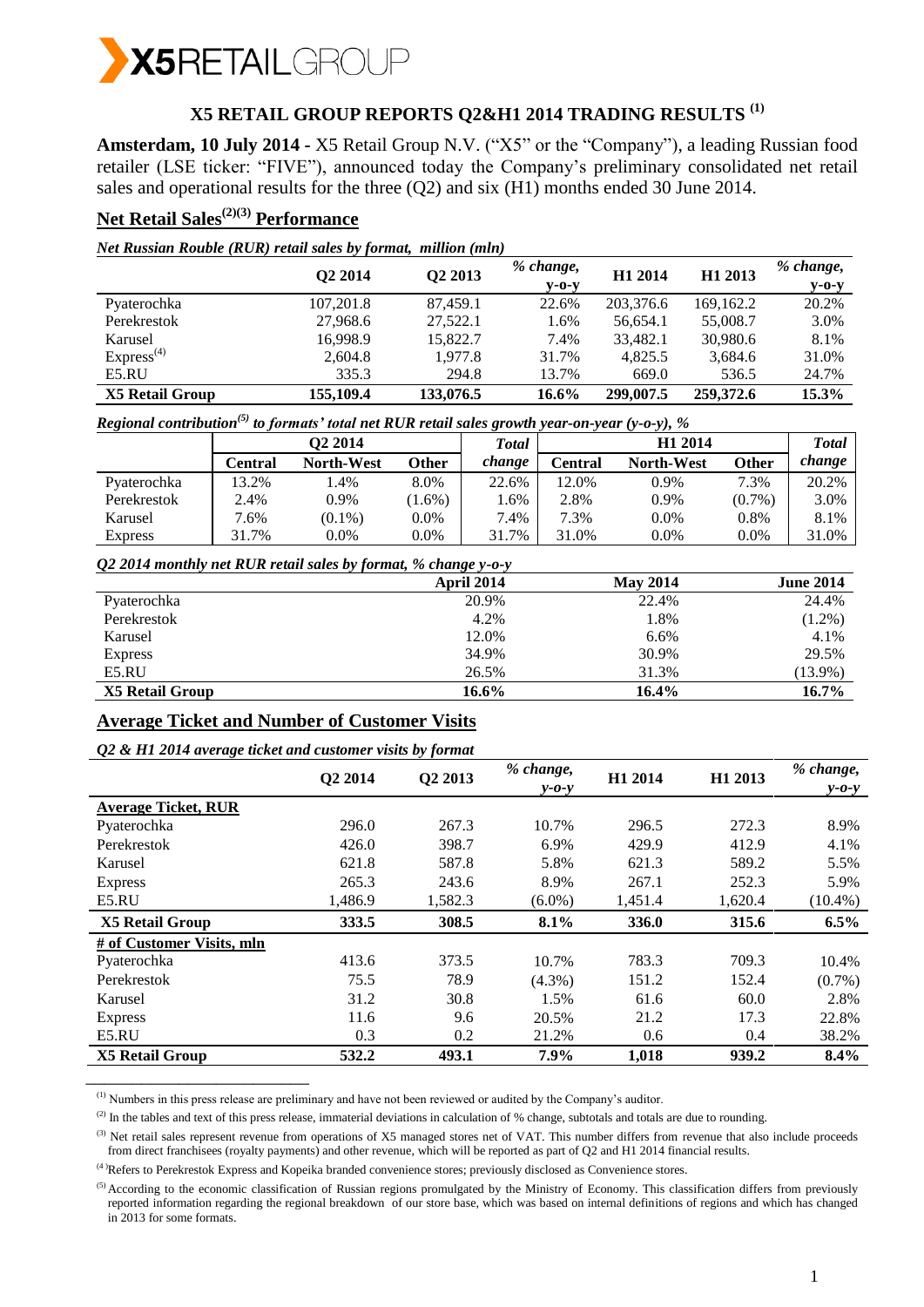

# **X5 RETAIL GROUP REPORTS Q2&H1 2014 TRADING RESULTS (1)**

**Amsterdam, 10 July 2014 -** X5 Retail Group N.V. ("X5" or the "Company"), a leading Russian food retailer (LSE ticker: "FIVE"), announced today the Company's preliminary consolidated net retail sales and operational results for the three (Q2) and six (H1) months ended 30 June 2014.

# **Net Retail Sales(2)(3) Performance**

| Net Russian Rouble (RUR) retail sales by format, million (mln) |  |  |  |  |
|----------------------------------------------------------------|--|--|--|--|
|                                                                |  |  |  |  |

|                        | Q <sub>2</sub> 2014 | Q2 2013   | % change,<br>$V-O-V$ | H <sub>1</sub> 2014 | H1 2013     | % change,<br>$y$ -0- $y$ |
|------------------------|---------------------|-----------|----------------------|---------------------|-------------|--------------------------|
| Pyaterochka            | 107,201.8           | 87.459.1  | 22.6%                | 203,376.6           | 169, 162. 2 | 20.2%                    |
| Perekrestok            | 27,968.6            | 27,522.1  | 1.6%                 | 56.654.1            | 55,008.7    | 3.0%                     |
| Karusel                | 16.998.9            | 15,822.7  | 7.4%                 | 33.482.1            | 30,980.6    | 8.1%                     |
| Express <sup>(4)</sup> | 2,604.8             | 1.977.8   | 31.7%                | 4.825.5             | 3,684.6     | 31.0%                    |
| E5.RU                  | 335.3               | 294.8     | 13.7%                | 669.0               | 536.5       | 24.7%                    |
| <b>X5 Retail Group</b> | 155,109.4           | 133,076.5 | $16.6\%$             | 299,007.5           | 259,372.6   | 15.3%                    |

*Regional contribution(5) to formats' total net RUR retail sales growth year-on-year (y-o-y), %*

|                | O <sub>2</sub> 2014 |                   |          | Total  | H <sub>1</sub> 2014 |                   |           | Total  |
|----------------|---------------------|-------------------|----------|--------|---------------------|-------------------|-----------|--------|
|                | Central             | <b>North-West</b> | Other    | change | Central             | <b>North-West</b> | Other     | change |
| Pyaterochka    | 13.2%               | .4%               | 8.0%     | 22.6%  | 12.0%               | $0.9\%$           | 7.3%      | 20.2%  |
| Perekrestok    | 2.4%                | 0.9%              | $1.6\%)$ | 1.6%   | 2.8%                | 0.9%              | $(0.7\%)$ | 3.0%   |
| Karusel        | 7.6%                | $(0.1\%)$         | $0.0\%$  | 7.4%   | 7.3%                | $0.0\%$           | 0.8%      | 8.1%   |
| <b>Express</b> | 31.7%               | 0.0%              | $0.0\%$  | 31.7%  | 31.0%               | 0.0%              | $0.0\%$   | 31.0%  |

*Q2 2014 monthly net RUR retail sales by format, % change y-o-y* 

| $\tilde{\phantom{a}}$ | ັ<br>ີ<br>April 2014 | <b>May 2014</b> | <b>June 2014</b> |
|-----------------------|----------------------|-----------------|------------------|
| Pyaterochka           | 20.9%                | 22.4%           | 24.4%            |
| Perekrestok           | 4.2%                 | 1.8%            | $(1.2\%)$        |
| Karusel               | 12.0%                | $6.6\%$         | 4.1%             |
| <b>Express</b>        | 34.9%                | 30.9%           | 29.5%            |
| E5.RU                 | 26.5%                | 31.3%           | $(13.9\%)$       |
| X5 Retail Group       | 16.6%                | 16.4%           | 16.7%            |

# **Average Ticket and Number of Customer Visits**

#### *Q2 & H1 2014 average ticket and customer visits by format*

\_\_\_\_\_\_\_\_\_\_\_\_\_\_\_\_\_\_\_\_\_\_\_\_

|                            | Q2 2014 | Q2 2013 | % change,<br>$y - 0 - y$ | H1 2014 | H1 2013 | % change,<br>$y - 0 - y$ |
|----------------------------|---------|---------|--------------------------|---------|---------|--------------------------|
| <b>Average Ticket, RUR</b> |         |         |                          |         |         |                          |
| Pyaterochka                | 296.0   | 267.3   | 10.7%                    | 296.5   | 272.3   | 8.9%                     |
| Perekrestok                | 426.0   | 398.7   | 6.9%                     | 429.9   | 412.9   | 4.1%                     |
| Karusel                    | 621.8   | 587.8   | 5.8%                     | 621.3   | 589.2   | 5.5%                     |
| <b>Express</b>             | 265.3   | 243.6   | 8.9%                     | 267.1   | 252.3   | 5.9%                     |
| E5.RU                      | 1.486.9 | 1,582.3 | $(6.0\%)$                | 1,451.4 | 1,620.4 | $(10.4\%)$               |
| <b>X5 Retail Group</b>     | 333.5   | 308.5   | 8.1%                     | 336.0   | 315.6   | 6.5%                     |
| # of Customer Visits, mln  |         |         |                          |         |         |                          |
| Pyaterochka                | 413.6   | 373.5   | 10.7%                    | 783.3   | 709.3   | 10.4%                    |
| Perekrestok                | 75.5    | 78.9    | $(4.3\%)$                | 151.2   | 152.4   | $(0.7\%)$                |
| Karusel                    | 31.2    | 30.8    | 1.5%                     | 61.6    | 60.0    | 2.8%                     |
| <b>Express</b>             | 11.6    | 9.6     | 20.5%                    | 21.2    | 17.3    | 22.8%                    |
| E5.RU                      | 0.3     | 0.2     | 21.2%                    | 0.6     | 0.4     | 38.2%                    |
| <b>X5 Retail Group</b>     | 532.2   | 493.1   | 7.9%                     | 1,018   | 939.2   | 8.4%                     |

(1) Numbers in this press release are preliminary and have not been reviewed or audited by the Company's auditor.

 $^{(2)}$  In the tables and text of this press release, immaterial deviations in calculation of % change, subtotals and totals are due to rounding.

<sup>(3)</sup> Net retail sales represent revenue from operations of X5 managed stores net of VAT. This number differs from revenue that also include proceeds from direct franchisees (royalty payments) and other revenue, which will be reported as part of Q2 and H1 2014 financial results.

<sup>(4)</sup>Refers to Perekrestok Express and Kopeika branded convenience stores; previously disclosed as Convenience stores.

<sup>(5)</sup> According to the economic classification of Russian regions promulgated by the Ministry of Economy. This classification differs from previously reported information regarding the regional breakdown of our store base, which was based on internal definitions of regions and which has changed in 2013 for some formats.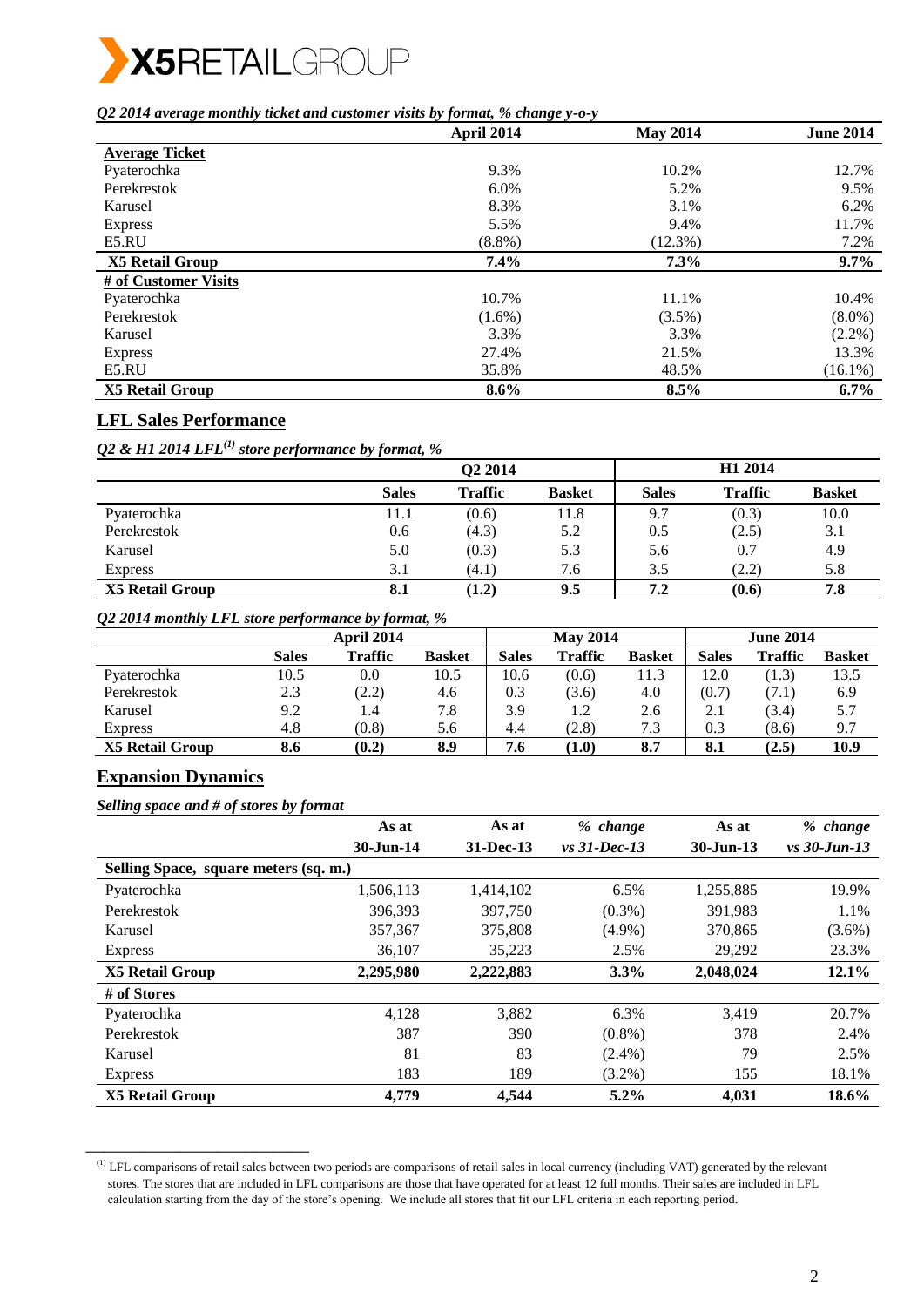

#### *Q2 2014 average monthly ticket and customer visits by format, % change y-o-y*

|                        | April 2014 | <b>May 2014</b> | <b>June 2014</b> |
|------------------------|------------|-----------------|------------------|
| <b>Average Ticket</b>  |            |                 |                  |
| Pyaterochka            | 9.3%       | 10.2%           | 12.7%            |
| Perekrestok            | 6.0%       | 5.2%            | 9.5%             |
| Karusel                | 8.3%       | 3.1%            | 6.2%             |
| <b>Express</b>         | 5.5%       | 9.4%            | 11.7%            |
| E5.RU                  | $(8.8\%)$  | $(12.3\%)$      | 7.2%             |
| <b>X5 Retail Group</b> | $7.4\%$    | $7.3\%$         | 9.7%             |
| # of Customer Visits   |            |                 |                  |
| Pyaterochka            | 10.7%      | 11.1%           | 10.4%            |
| Perekrestok            | $(1.6\%)$  | $(3.5\%)$       | $(8.0\%)$        |
| Karusel                | 3.3%       | 3.3%            | $(2.2\%)$        |
| <b>Express</b>         | 27.4%      | 21.5%           | 13.3%            |
| E5.RU                  | 35.8%      | 48.5%           | $(16.1\%)$       |
| <b>X5 Retail Group</b> | $8.6\%$    | 8.5%            | $6.7\%$          |

# **LFL Sales Performance**

*Q2 & H1 2014 LFL(1) store performance by format, %*

|                        | Q2 2014      |                |               | H <sub>1</sub> 2014 |                |               |
|------------------------|--------------|----------------|---------------|---------------------|----------------|---------------|
|                        | <b>Sales</b> | <b>Traffic</b> | <b>Basket</b> | <b>Sales</b>        | <b>Traffic</b> | <b>Basket</b> |
| Pyaterochka            | 11.1         | (0.6)          | 11.8          | 9.7                 | (0.3)          | 10.0          |
| Perekrestok            | 0.6          | (4.3)          | 5.2           | 0.5                 | (2.5)          | 3.1           |
| Karusel                | 5.0          | (0.3)          | 5.3           | 5.6                 | 0.7            | 4.9           |
| <b>Express</b>         | 3.1          | (4.1)          | 7.6           | 3.5                 | (2.2)          | 5.8           |
| <b>X5 Retail Group</b> | 8.1          | (1.2)          | 9.5           | 7.2                 | (0.6)          | 7.8           |

*Q2 2014 monthly LFL store performance by format, %* 

|                        |              | <b>April 2014</b> |               |       | <b>May 2014</b> |               |              | <b>June 2014</b> |               |
|------------------------|--------------|-------------------|---------------|-------|-----------------|---------------|--------------|------------------|---------------|
|                        | <b>Sales</b> | <b>Traffic</b>    | <b>Basket</b> | Sales | <b>Traffic</b>  | <b>Basket</b> | <b>Sales</b> | Traffic          | <b>Basket</b> |
| Pyaterochka            | 10.5         | 0.0               | 10.5          | 10.6  | (0.6)           | 11.3          | 12.0         | (1.3)            | 13.5          |
| Perekrestok            | 2.3          | (2.2)             | 4.6           | 0.3   | (3.6)           | 4.0           | (0.7)        | (7.1)            | 6.9           |
| Karusel                | 9.2          | 1.4               | 7.8           | 3.9   | 1.2             | 2.6           | 2.1          | (3.4)            | 5.7           |
| <b>Express</b>         | 4.8          | (0.8)             | 5.6           | 4.4   | (2.8)           | 7.3           | 0.3          | (8.6)            | 9.7           |
| <b>X5 Retail Group</b> | 8.6          | (0.2)             | 8.9           | 7.6   | (1.0)           | 8.7           | 8.1          | (2.5)            | 10.9          |

## **Expansion Dynamics**

\_\_\_\_\_\_\_\_\_\_\_\_\_\_\_\_\_\_\_\_\_\_\_\_

*Selling space and # of stores by format*

| $\mathbf{r}$<br>J J                   | As at     | As at        | % change        | As at         | % change       |
|---------------------------------------|-----------|--------------|-----------------|---------------|----------------|
|                                       | 30-Jun-14 | $31$ -Dec-13 | $vs. 31-Dec-13$ | $30 - Jun-13$ | $vs$ 30-Jun-13 |
| Selling Space, square meters (sq. m.) |           |              |                 |               |                |
| Pyaterochka                           | 1,506,113 | 1,414,102    | 6.5%            | 1,255,885     | 19.9%          |
| Perekrestok                           | 396.393   | 397,750      | $(0.3\%)$       | 391.983       | 1.1%           |
| Karusel                               | 357,367   | 375,808      | $(4.9\%)$       | 370,865       | $(3.6\%)$      |
| <b>Express</b>                        | 36,107    | 35,223       | 2.5%            | 29,292        | 23.3%          |
| <b>X5 Retail Group</b>                | 2,295,980 | 2,222,883    | $3.3\%$         | 2,048,024     | $12.1\%$       |
| # of Stores                           |           |              |                 |               |                |
| Pyaterochka                           | 4,128     | 3,882        | 6.3%            | 3,419         | 20.7%          |
| Perekrestok                           | 387       | 390          | $(0.8\%)$       | 378           | 2.4%           |
| Karusel                               | 81        | 83           | $(2.4\%)$       | 79            | 2.5%           |
| <b>Express</b>                        | 183       | 189          | $(3.2\%)$       | 155           | 18.1%          |
| <b>X5 Retail Group</b>                | 4.779     | 4.544        | $5.2\%$         | 4,031         | 18.6%          |

 $<sup>(1)</sup>$  LFL comparisons of retail sales between two periods are comparisons of retail sales in local currency (including VAT) generated by the relevant</sup> stores. The stores that are included in LFL comparisons are those that have operated for at least 12 full months. Their sales are included in LFL calculation starting from the day of the store's opening. We include all stores that fit our LFL criteria in each reporting period.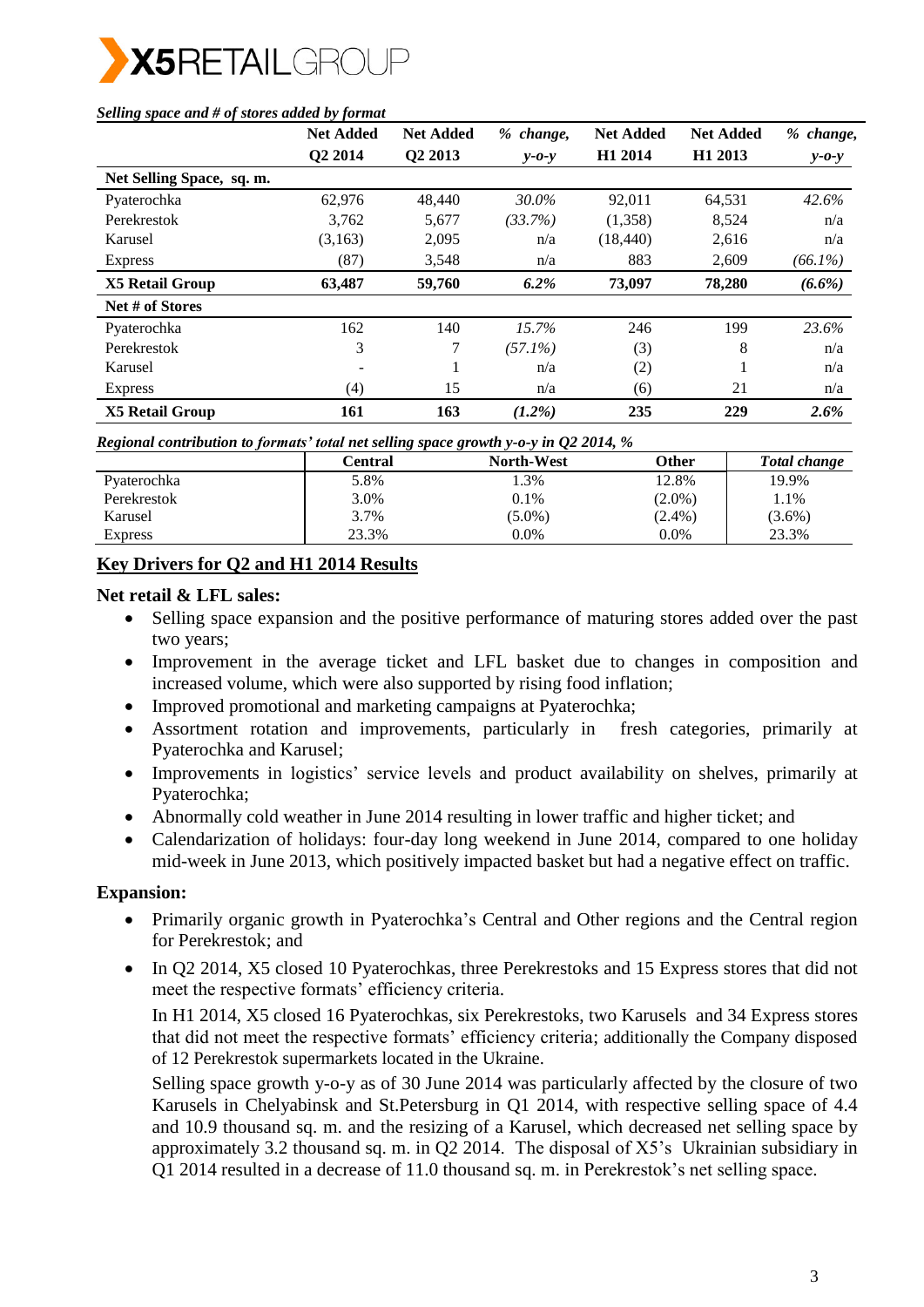

|                           | <b>Net Added</b>    | <b>Net Added</b>    | % change,   | <b>Net Added</b>    | <b>Net Added</b>    | % change,   |
|---------------------------|---------------------|---------------------|-------------|---------------------|---------------------|-------------|
|                           | O <sub>2</sub> 2014 | Q <sub>2</sub> 2013 | $y - 0 - y$ | H <sub>1</sub> 2014 | H <sub>1</sub> 2013 | $y - 0 - y$ |
| Net Selling Space, sq. m. |                     |                     |             |                     |                     |             |
| Pyaterochka               | 62,976              | 48,440              | 30.0%       | 92.011              | 64,531              | 42.6%       |
| Perekrestok               | 3,762               | 5,677               | (33.7%)     | (1,358)             | 8,524               | n/a         |
| Karusel                   | (3,163)             | 2,095               | n/a         | (18, 440)           | 2,616               | n/a         |
| <b>Express</b>            | (87)                | 3,548               | n/a         | 883                 | 2,609               | $(66.1\%)$  |
| <b>X5 Retail Group</b>    | 63,487              | 59,760              | $6.2\%$     | 73,097              | 78,280              | $(6.6\%)$   |
| Net # of Stores           |                     |                     |             |                     |                     |             |
| Pyaterochka               | 162                 | 140                 | 15.7%       | 246                 | 199                 | 23.6%       |
| Perekrestok               | 3                   | 7                   | $(57.1\%)$  | (3)                 | 8                   | n/a         |
| Karusel                   |                     |                     | n/a         | (2)                 |                     | n/a         |
| <b>Express</b>            | (4)                 | 15                  | n/a         | (6)                 | 21                  | n/a         |
| <b>X5 Retail Group</b>    | 161                 | 163                 | $(1.2\%)$   | 235                 | 229                 | 2.6%        |

#### *Selling space and # of stores added by format*

*Regional contribution to formats' total net selling space growth y-o-y in Q2 2014, %* 

| $\sim$         | Central | <b>North-West</b> | Other     | <b>Total change</b> |
|----------------|---------|-------------------|-----------|---------------------|
| Pyaterochka    | 5.8%    | 1.3%              | 12.8%     | 19.9%               |
| Perekrestok    | 3.0%    | $0.1\%$           | $(2.0\%)$ | 1.1%                |
| Karusel        | 3.7%    | $(5.0\%)$         | $(2.4\%)$ | $(3.6\%)$           |
| <b>Express</b> | 23.3%   | $0.0\%$           | 0.0%      | 23.3%               |

# **Key Drivers for Q2 and H1 2014 Results**

## **Net retail & LFL sales:**

- Selling space expansion and the positive performance of maturing stores added over the past two years;
- Improvement in the average ticket and LFL basket due to changes in composition and increased volume, which were also supported by rising food inflation;
- Improved promotional and marketing campaigns at Pyaterochka;
- Assortment rotation and improvements, particularly in fresh categories, primarily at Pyaterochka and Karusel;
- Improvements in logistics' service levels and product availability on shelves, primarily at Pyaterochka;
- Abnormally cold weather in June 2014 resulting in lower traffic and higher ticket; and
- Calendarization of holidays: four-day long weekend in June 2014, compared to one holiday mid-week in June 2013, which positively impacted basket but had a negative effect on traffic.

## **Expansion:**

- Primarily organic growth in Pyaterochka's Central and Other regions and the Central region for Perekrestok; and
- In Q2 2014, X5 closed 10 Pyaterochkas, three Perekrestoks and 15 Express stores that did not meet the respective formats' efficiency criteria.

In H1 2014, X5 closed 16 Pyaterochkas, six Perekrestoks, two Karusels and 34 Express stores that did not meet the respective formats' efficiency criteria; additionally the Company disposed of 12 Perekrestok supermarkets located in the Ukraine.

Selling space growth y-o-y as of 30 June 2014 was particularly affected by the closure of two Karusels in Chelyabinsk and St.Petersburg in Q1 2014, with respective selling space of 4.4 and 10.9 thousand sq. m. and the resizing of a Karusel, which decreased net selling space by approximately 3.2 thousand sq. m. in Q2 2014. The disposal of X5's Ukrainian subsidiary in Q1 2014 resulted in a decrease of 11.0 thousand sq. m. in Perekrestok's net selling space.